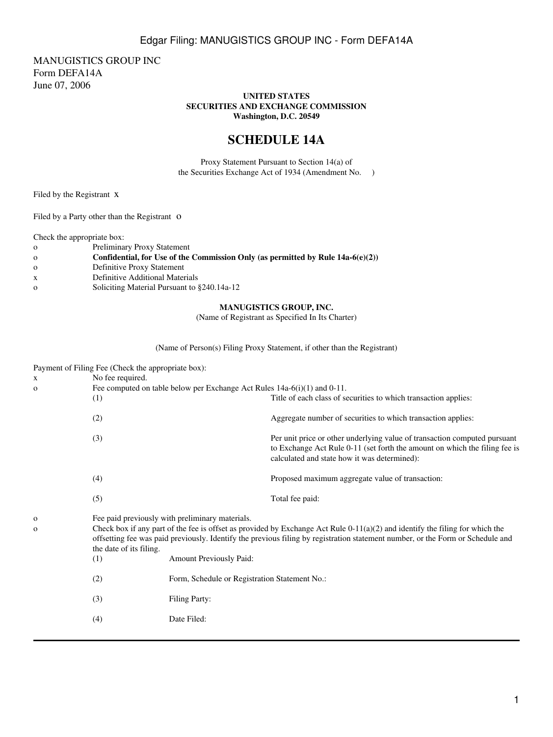MANUGISTICS GROUP INC Form DEFA14A June 07, 2006

#### **UNITED STATES SECURITIES AND EXCHANGE COMMISSION Washington, D.C. 20549**

# **SCHEDULE 14A**

Proxy Statement Pursuant to Section 14(a) of the Securities Exchange Act of 1934 (Amendment No. )

Filed by the Registrant x

Filed by a Party other than the Registrant O

Check the appropriate box:

| $\Omega$ | <b>Preliminary Proxy Statement</b> |  |
|----------|------------------------------------|--|
|          |                                    |  |

- o **Confidential, for Use of the Commission Only (as permitted by Rule 14a-6(e)(2))**
- o Definitive Proxy Statement
- x Definitive Additional Materials
- o Soliciting Material Pursuant to §240.14a-12

### **MANUGISTICS GROUP, INC.**

(Name of Registrant as Specified In Its Charter)

(Name of Person(s) Filing Proxy Statement, if other than the Registrant)

|                              | Payment of Filing Fee (Check the appropriate box):                            |                                                                                                                                                                                                                                                                                                                     |                                                                                                                                                                                                         |  |  |
|------------------------------|-------------------------------------------------------------------------------|---------------------------------------------------------------------------------------------------------------------------------------------------------------------------------------------------------------------------------------------------------------------------------------------------------------------|---------------------------------------------------------------------------------------------------------------------------------------------------------------------------------------------------------|--|--|
| X                            | No fee required.                                                              |                                                                                                                                                                                                                                                                                                                     |                                                                                                                                                                                                         |  |  |
| $\Omega$                     | Fee computed on table below per Exchange Act Rules $14a-6(i)(1)$ and $0-11$ . |                                                                                                                                                                                                                                                                                                                     |                                                                                                                                                                                                         |  |  |
|                              | (1)                                                                           |                                                                                                                                                                                                                                                                                                                     | Title of each class of securities to which transaction applies:                                                                                                                                         |  |  |
|                              | (2)                                                                           |                                                                                                                                                                                                                                                                                                                     | Aggregate number of securities to which transaction applies:                                                                                                                                            |  |  |
|                              | (3)                                                                           |                                                                                                                                                                                                                                                                                                                     | Per unit price or other underlying value of transaction computed pursuant<br>to Exchange Act Rule 0-11 (set forth the amount on which the filing fee is<br>calculated and state how it was determined): |  |  |
|                              | (4)                                                                           |                                                                                                                                                                                                                                                                                                                     | Proposed maximum aggregate value of transaction:                                                                                                                                                        |  |  |
|                              | (5)                                                                           |                                                                                                                                                                                                                                                                                                                     | Total fee paid:                                                                                                                                                                                         |  |  |
| $\mathbf{O}$<br>$\mathbf{o}$ | the date of its filing.                                                       | Fee paid previously with preliminary materials.<br>Check box if any part of the fee is offset as provided by Exchange Act Rule $0-11(a)(2)$ and identify the filing for which the<br>offsetting fee was paid previously. Identify the previous filing by registration statement number, or the Form or Schedule and |                                                                                                                                                                                                         |  |  |
|                              | (1)                                                                           | Amount Previously Paid:                                                                                                                                                                                                                                                                                             |                                                                                                                                                                                                         |  |  |
|                              | (2)                                                                           | Form, Schedule or Registration Statement No.:                                                                                                                                                                                                                                                                       |                                                                                                                                                                                                         |  |  |
|                              | (3)                                                                           | Filing Party:                                                                                                                                                                                                                                                                                                       |                                                                                                                                                                                                         |  |  |
|                              | (4)                                                                           | Date Filed:                                                                                                                                                                                                                                                                                                         |                                                                                                                                                                                                         |  |  |
|                              |                                                                               |                                                                                                                                                                                                                                                                                                                     |                                                                                                                                                                                                         |  |  |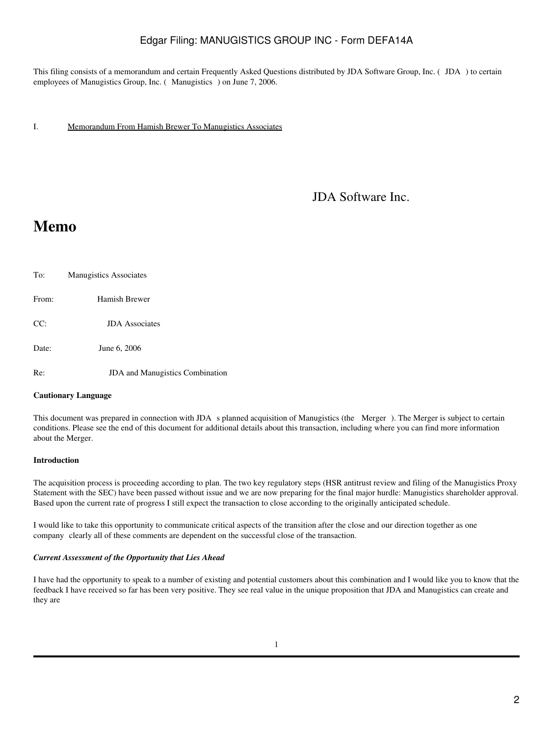This filing consists of a memorandum and certain Frequently Asked Questions distributed by JDA Software Group, Inc. (JDA) to certain employees of Manugistics Group, Inc. (Manugistics) on June 7, 2006.

I. Memorandum From Hamish Brewer To Manugistics Associates

JDA Software Inc.

# **Memo**

To: Manugistics Associates From: Hamish Brewer CC: JDA Associates Date: June 6, 2006 Re: **JDA** and Manugistics Combination

#### **Cautionary Language**

This document was prepared in connection with JDA s planned acquisition of Manugistics (the Merger). The Merger is subject to certain conditions. Please see the end of this document for additional details about this transaction, including where you can find more information about the Merger.

#### **Introduction**

The acquisition process is proceeding according to plan. The two key regulatory steps (HSR antitrust review and filing of the Manugistics Proxy Statement with the SEC) have been passed without issue and we are now preparing for the final major hurdle: Manugistics shareholder approval. Based upon the current rate of progress I still expect the transaction to close according to the originally anticipated schedule.

I would like to take this opportunity to communicate critical aspects of the transition after the close and our direction together as one company clearly all of these comments are dependent on the successful close of the transaction.

#### *Current Assessment of the Opportunity that Lies Ahead*

I have had the opportunity to speak to a number of existing and potential customers about this combination and I would like you to know that the feedback I have received so far has been very positive. They see real value in the unique proposition that JDA and Manugistics can create and they are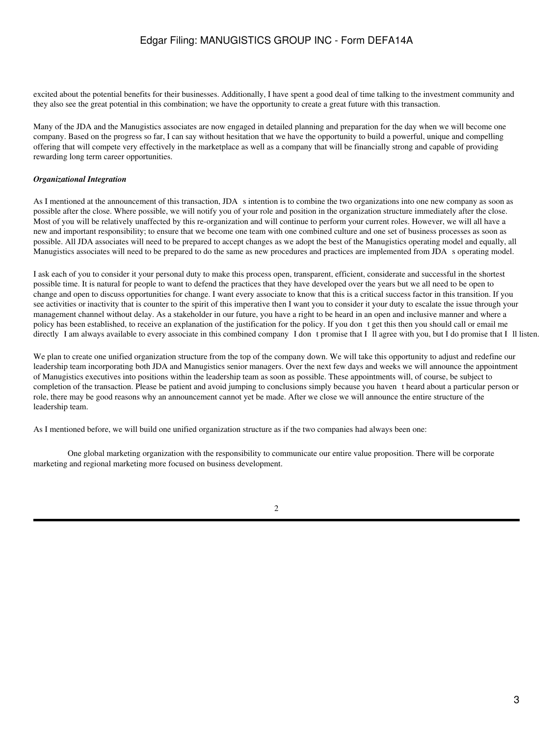excited about the potential benefits for their businesses. Additionally, I have spent a good deal of time talking to the investment community and they also see the great potential in this combination; we have the opportunity to create a great future with this transaction.

Many of the JDA and the Manugistics associates are now engaged in detailed planning and preparation for the day when we will become one company. Based on the progress so far, I can say without hesitation that we have the opportunity to build a powerful, unique and compelling offering that will compete very effectively in the marketplace as well as a company that will be financially strong and capable of providing rewarding long term career opportunities.

#### *Organizational Integration*

As I mentioned at the announcement of this transaction, JDA s intention is to combine the two organizations into one new company as soon as possible after the close. Where possible, we will notify you of your role and position in the organization structure immediately after the close. Most of you will be relatively unaffected by this re-organization and will continue to perform your current roles. However, we will all have a new and important responsibility; to ensure that we become one team with one combined culture and one set of business processes as soon as possible. All JDA associates will need to be prepared to accept changes as we adopt the best of the Manugistics operating model and equally, all Manugistics associates will need to be prepared to do the same as new procedures and practices are implemented from JDA s operating model.

I ask each of you to consider it your personal duty to make this process open, transparent, efficient, considerate and successful in the shortest possible time. It is natural for people to want to defend the practices that they have developed over the years but we all need to be open to change and open to discuss opportunities for change. I want every associate to know that this is a critical success factor in this transition. If you see activities or inactivity that is counter to the spirit of this imperative then I want you to consider it your duty to escalate the issue through your management channel without delay. As a stakeholder in our future, you have a right to be heard in an open and inclusive manner and where a policy has been established, to receive an explanation of the justification for the policy. If you dont get this then you should call or email me directly I am always available to every associate in this combined company I dont promise that I Il agree with you, but I do promise that I Il listen.

We plan to create one unified organization structure from the top of the company down. We will take this opportunity to adjust and redefine our leadership team incorporating both JDA and Manugistics senior managers. Over the next few days and weeks we will announce the appointment of Manugistics executives into positions within the leadership team as soon as possible. These appointments will, of course, be subject to completion of the transaction. Please be patient and avoid jumping to conclusions simply because you havent heard about a particular person or role, there may be good reasons why an announcement cannot yet be made. After we close we will announce the entire structure of the leadership team.

As I mentioned before, we will build one unified organization structure as if the two companies had always been one:

One global marketing organization with the responsibility to communicate our entire value proposition. There will be corporate marketing and regional marketing more focused on business development.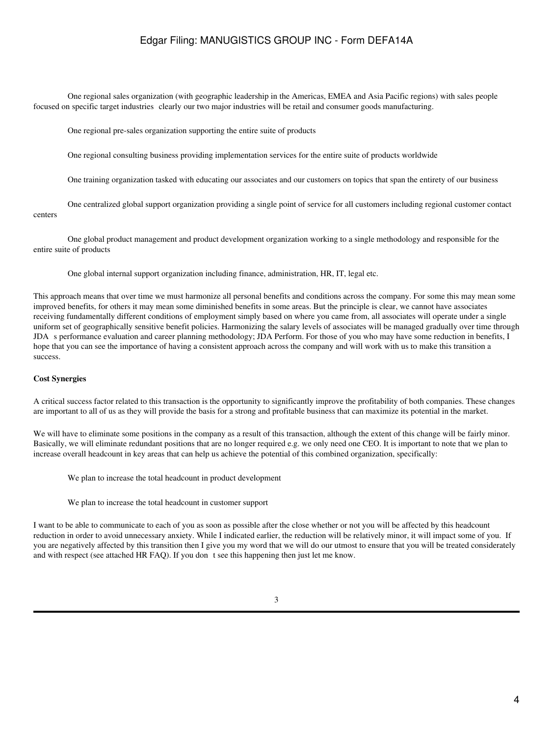One regional sales organization (with geographic leadership in the Americas, EMEA and Asia Pacific regions) with sales people focused on specific target industries clearly our two major industries will be retail and consumer goods manufacturing.

One regional pre-sales organization supporting the entire suite of products

One regional consulting business providing implementation services for the entire suite of products worldwide

One training organization tasked with educating our associates and our customers on topics that span the entirety of our business

One centralized global support organization providing a single point of service for all customers including regional customer contact centers

One global product management and product development organization working to a single methodology and responsible for the entire suite of products

One global internal support organization including finance, administration, HR, IT, legal etc.

This approach means that over time we must harmonize all personal benefits and conditions across the company. For some this may mean some improved benefits, for others it may mean some diminished benefits in some areas. But the principle is clear, we cannot have associates receiving fundamentally different conditions of employment simply based on where you came from, all associates will operate under a single uniform set of geographically sensitive benefit policies. Harmonizing the salary levels of associates will be managed gradually over time through JDA s performance evaluation and career planning methodology; JDA Perform. For those of you who may have some reduction in benefits, I hope that you can see the importance of having a consistent approach across the company and will work with us to make this transition a success.

#### **Cost Synergies**

A critical success factor related to this transaction is the opportunity to significantly improve the profitability of both companies. These changes are important to all of us as they will provide the basis for a strong and profitable business that can maximize its potential in the market.

We will have to eliminate some positions in the company as a result of this transaction, although the extent of this change will be fairly minor. Basically, we will eliminate redundant positions that are no longer required e.g. we only need one CEO. It is important to note that we plan to increase overall headcount in key areas that can help us achieve the potential of this combined organization, specifically:

We plan to increase the total headcount in product development

We plan to increase the total headcount in customer support

I want to be able to communicate to each of you as soon as possible after the close whether or not you will be affected by this headcount reduction in order to avoid unnecessary anxiety. While I indicated earlier, the reduction will be relatively minor, it will impact some of you. If you are negatively affected by this transition then I give you my word that we will do our utmost to ensure that you will be treated considerately and with respect (see attached HR FAQ). If you dont see this happening then just let me know.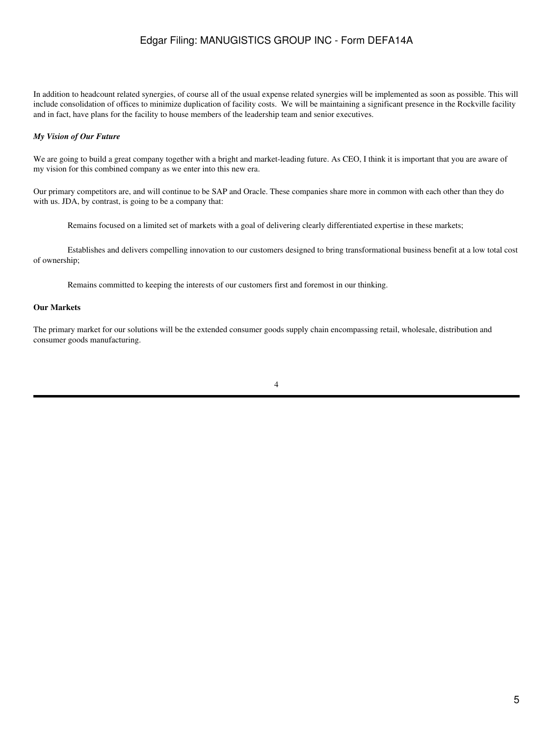In addition to headcount related synergies, of course all of the usual expense related synergies will be implemented as soon as possible. This will include consolidation of offices to minimize duplication of facility costs. We will be maintaining a significant presence in the Rockville facility and in fact, have plans for the facility to house members of the leadership team and senior executives.

#### *My Vision of Our Future*

We are going to build a great company together with a bright and market-leading future. As CEO, I think it is important that you are aware of my vision for this combined company as we enter into this new era.

Our primary competitors are, and will continue to be SAP and Oracle. These companies share more in common with each other than they do with us. JDA, by contrast, is going to be a company that:

Remains focused on a limited set of markets with a goal of delivering clearly differentiated expertise in these markets;

Establishes and delivers compelling innovation to our customers designed to bring transformational business benefit at a low total cost of ownership;

Remains committed to keeping the interests of our customers first and foremost in our thinking.

#### **Our Markets**

The primary market for our solutions will be the extended consumer goods supply chain encompassing retail, wholesale, distribution and consumer goods manufacturing.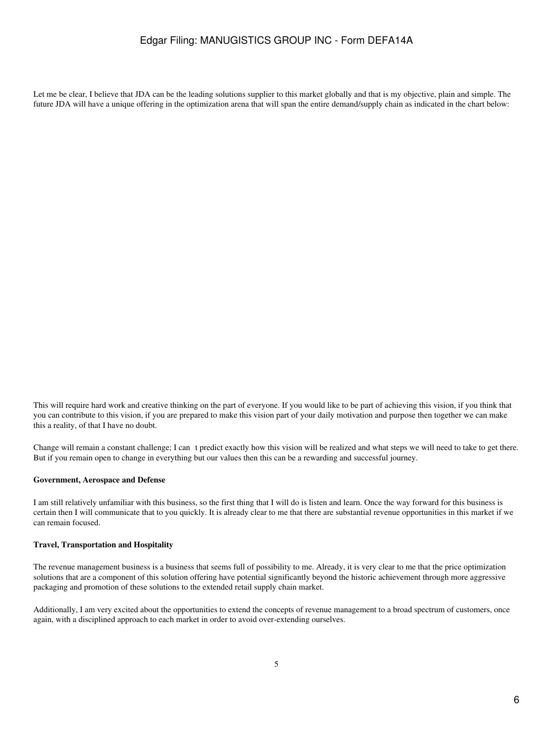Let me be clear, I believe that JDA can be the leading solutions supplier to this market globally and that is my objective, plain and simple. The future JDA will have a unique offering in the optimization arena that will span the entire demand/supply chain as indicated in the chart below:

This will require hard work and creative thinking on the part of everyone. If you would like to be part of achieving this vision, if you think that you can contribute to this vision, if you are prepared to make this vision part of your daily motivation and purpose then together we can make this a reality, of that I have no doubt.

Change will remain a constant challenge; I can t predict exactly how this vision will be realized and what steps we will need to take to get there. But if you remain open to change in everything but our values then this can be a rewarding and successful journey.

#### **Government, Aerospace and Defense**

I am still relatively unfamiliar with this business, so the first thing that I will do is listen and learn. Once the way forward for this business is certain then I will communicate that to you quickly. It is already clear to me that there are substantial revenue opportunities in this market if we can remain focused.

#### **Travel, Transportation and Hospitality**

The revenue management business is a business that seems full of possibility to me. Already, it is very clear to me that the price optimization solutions that are a component of this solution offering have potential significantly beyond the historic achievement through more aggressive packaging and promotion of these solutions to the extended retail supply chain market.

Additionally, I am very excited about the opportunities to extend the concepts of revenue management to a broad spectrum of customers, once again, with a disciplined approach to each market in order to avoid over-extending ourselves.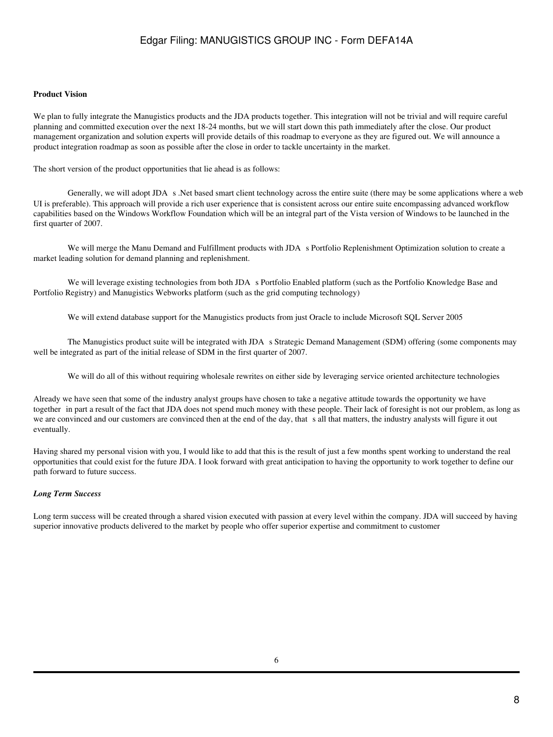#### **Product Vision**

We plan to fully integrate the Manugistics products and the JDA products together. This integration will not be trivial and will require careful planning and committed execution over the next 18-24 months, but we will start down this path immediately after the close. Our product management organization and solution experts will provide details of this roadmap to everyone as they are figured out. We will announce a product integration roadmap as soon as possible after the close in order to tackle uncertainty in the market.

The short version of the product opportunities that lie ahead is as follows:

Generally, we will adopt JDA s. Net based smart client technology across the entire suite (there may be some applications where a web UI is preferable). This approach will provide a rich user experience that is consistent across our entire suite encompassing advanced workflow capabilities based on the Windows Workflow Foundation which will be an integral part of the Vista version of Windows to be launched in the first quarter of 2007.

We will merge the Manu Demand and Fulfillment products with JDA s Portfolio Replenishment Optimization solution to create a market leading solution for demand planning and replenishment.

We will leverage existing technologies from both JDA s Portfolio Enabled platform (such as the Portfolio Knowledge Base and Portfolio Registry) and Manugistics Webworks platform (such as the grid computing technology)

We will extend database support for the Manugistics products from just Oracle to include Microsoft SQL Server 2005

The Manugistics product suite will be integrated with JDA s Strategic Demand Management (SDM) offering (some components may well be integrated as part of the initial release of SDM in the first quarter of 2007.

We will do all of this without requiring wholesale rewrites on either side by leveraging service oriented architecture technologies

Already we have seen that some of the industry analyst groups have chosen to take a negative attitude towards the opportunity we have together in part a result of the fact that JDA does not spend much money with these people. Their lack of foresight is not our problem, as long as we are convinced and our customers are convinced then at the end of the day, that sall that matters, the industry analysts will figure it out eventually.

Having shared my personal vision with you, I would like to add that this is the result of just a few months spent working to understand the real opportunities that could exist for the future JDA. I look forward with great anticipation to having the opportunity to work together to define our path forward to future success.

#### *Long Term Success*

Long term success will be created through a shared vision executed with passion at every level within the company. JDA will succeed by having superior innovative products delivered to the market by people who offer superior expertise and commitment to customer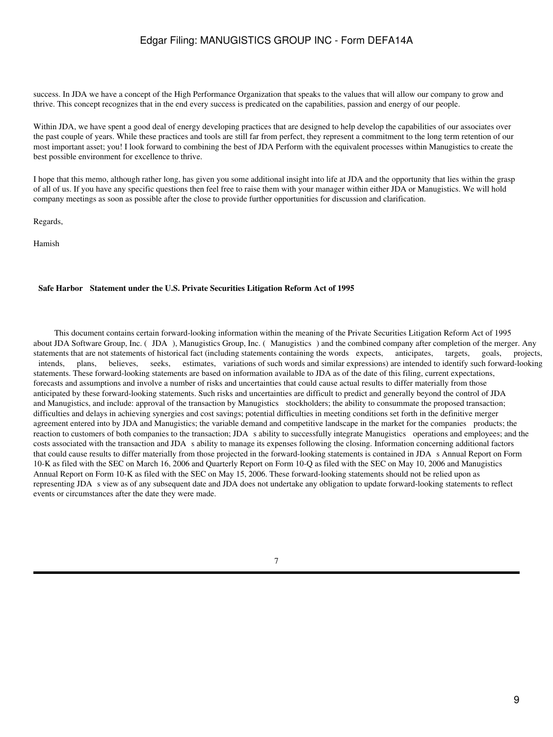success. In JDA we have a concept of the High Performance Organization that speaks to the values that will allow our company to grow and thrive. This concept recognizes that in the end every success is predicated on the capabilities, passion and energy of our people.

Within JDA, we have spent a good deal of energy developing practices that are designed to help develop the capabilities of our associates over the past couple of years. While these practices and tools are still far from perfect, they represent a commitment to the long term retention of our most important asset; you! I look forward to combining the best of JDA Perform with the equivalent processes within Manugistics to create the best possible environment for excellence to thrive.

I hope that this memo, although rather long, has given you some additional insight into life at JDA and the opportunity that lies within the grasp of all of us. If you have any specific questions then feel free to raise them with your manager within either JDA or Manugistics. We will hold company meetings as soon as possible after the close to provide further opportunities for discussion and clarification.

Regards,

Hamish

#### **Safe Harbor Statement under the U.S. Private Securities Litigation Reform Act of 1995**

 This document contains certain forward-looking information within the meaning of the Private Securities Litigation Reform Act of 1995 about JDA Software Group, Inc. (JDA), Manugistics Group, Inc. (Manugistics) and the combined company after completion of the merger. Any statements that are not statements of historical fact (including statements containing the words expects, anticipates, targets, goals, projects, intends, plans, believes, seeks, estimates, variations of such words and similar expressions) are intended to identify such forward-looking statements. These forward-looking statements are based on information available to JDA as of the date of this filing, current expectations, forecasts and assumptions and involve a number of risks and uncertainties that could cause actual results to differ materially from those anticipated by these forward-looking statements. Such risks and uncertainties are difficult to predict and generally beyond the control of JDA and Manugistics, and include: approval of the transaction by Manugistics stockholders; the ability to consummate the proposed transaction; difficulties and delays in achieving synergies and cost savings; potential difficulties in meeting conditions set forth in the definitive merger agreement entered into by JDA and Manugistics; the variable demand and competitive landscape in the market for the companies products; the reaction to customers of both companies to the transaction; JDA s ability to successfully integrate Manugistics operations and employees; and the costs associated with the transaction and JDA s ability to manage its expenses following the closing. Information concerning additional factors that could cause results to differ materially from those projected in the forward-looking statements is contained in JDA s Annual Report on Form 10-K as filed with the SEC on March 16, 2006 and Quarterly Report on Form 10-Q as filed with the SEC on May 10, 2006 and Manugistics Annual Report on Form 10-K as filed with the SEC on May 15, 2006. These forward-looking statements should not be relied upon as representing JDA s view as of any subsequent date and JDA does not undertake any obligation to update forward-looking statements to reflect events or circumstances after the date they were made.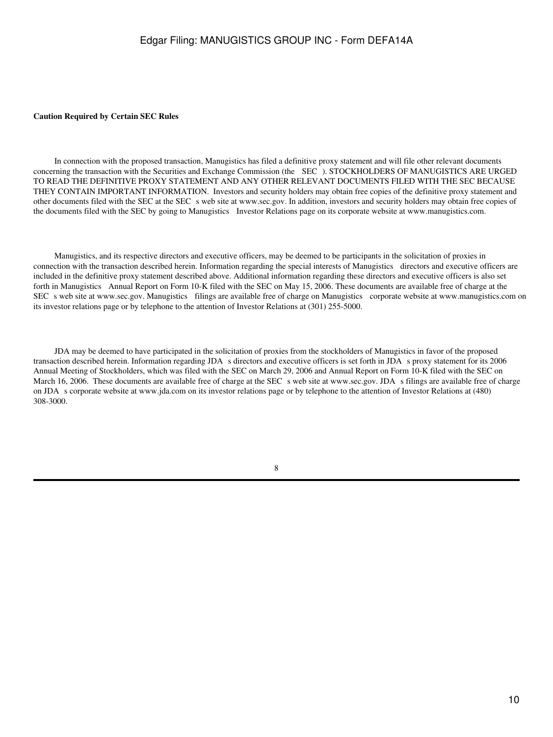#### **Caution Required by Certain SEC Rules**

 In connection with the proposed transaction, Manugistics has filed a definitive proxy statement and will file other relevant documents concerning the transaction with the Securities and Exchange Commission (the SEC). STOCKHOLDERS OF MANUGISTICS ARE URGED TO READ THE DEFINITIVE PROXY STATEMENT AND ANY OTHER RELEVANT DOCUMENTS FILED WITH THE SEC BECAUSE THEY CONTAIN IMPORTANT INFORMATION. Investors and security holders may obtain free copies of the definitive proxy statement and other documents filed with the SEC at the SEC s web site at www.sec.gov. In addition, investors and security holders may obtain free copies of the documents filed with the SEC by going to Manugistics Investor Relations page on its corporate website at www.manugistics.com.

 Manugistics, and its respective directors and executive officers, may be deemed to be participants in the solicitation of proxies in connection with the transaction described herein. Information regarding the special interests of Manugistics directors and executive officers are included in the definitive proxy statement described above. Additional information regarding these directors and executive officers is also set forth in Manugistics Annual Report on Form 10-K filed with the SEC on May 15, 2006. These documents are available free of charge at the SEC s web site at www.sec.gov. Manugistics filings are available free of charge on Manugistics corporate website at www.manugistics.com on its investor relations page or by telephone to the attention of Investor Relations at (301) 255-5000.

 JDA may be deemed to have participated in the solicitation of proxies from the stockholders of Manugistics in favor of the proposed transaction described herein. Information regarding JDA s directors and executive officers is set forth in JDA s proxy statement for its 2006 Annual Meeting of Stockholders, which was filed with the SEC on March 29, 2006 and Annual Report on Form 10-K filed with the SEC on March 16, 2006. These documents are available free of charge at the SEC s web site at www.sec.gov. JDA s filings are available free of charge on JDA s corporate website at www.jda.com on its investor relations page or by telephone to the attention of Investor Relations at (480) 308-3000.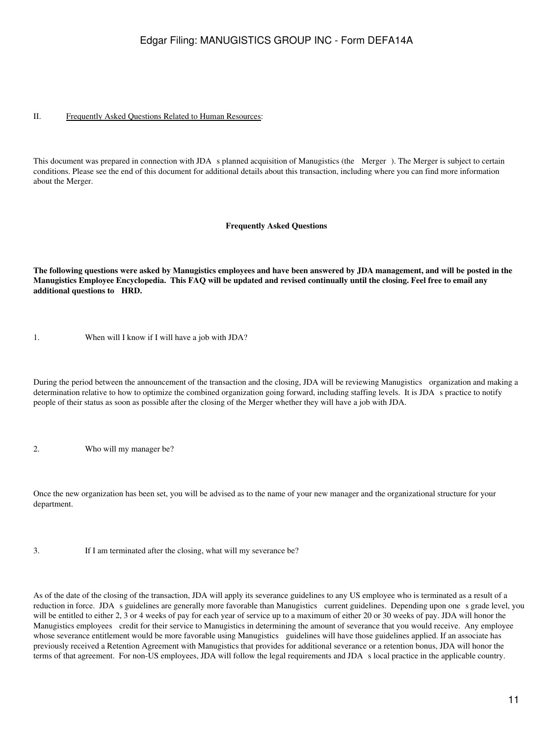#### II. Frequently Asked Questions Related to Human Resources:

This document was prepared in connection with JDA s planned acquisition of Manugistics (the Merger). The Merger is subject to certain conditions. Please see the end of this document for additional details about this transaction, including where you can find more information about the Merger.

#### **Frequently Asked Questions**

**The following questions were asked by Manugistics employees and have been answered by JDA management, and will be posted in the Manugistics Employee Encyclopedia. This FAQ will be updated and revised continually until the closing. Feel free to email any additional questions to HRD.**

1. When will I know if I will have a job with JDA?

During the period between the announcement of the transaction and the closing, JDA will be reviewing Manugistics organization and making a determination relative to how to optimize the combined organization going forward, including staffing levels. It is JDA s practice to notify people of their status as soon as possible after the closing of the Merger whether they will have a job with JDA.

2. Who will my manager be?

Once the new organization has been set, you will be advised as to the name of your new manager and the organizational structure for your department.

3. If I am terminated after the closing, what will my severance be?

As of the date of the closing of the transaction, JDA will apply its severance guidelines to any US employee who is terminated as a result of a reduction in force. JDA s guidelines are generally more favorable than Manugistics current guidelines. Depending upon one s grade level, you will be entitled to either 2, 3 or 4 weeks of pay for each year of service up to a maximum of either 20 or 30 weeks of pay. JDA will honor the Manugistics employees credit for their service to Manugistics in determining the amount of severance that you would receive. Any employee whose severance entitlement would be more favorable using Manugistics guidelines will have those guidelines applied. If an associate has previously received a Retention Agreement with Manugistics that provides for additional severance or a retention bonus, JDA will honor the terms of that agreement. For non-US employees, JDA will follow the legal requirements and JDA s local practice in the applicable country.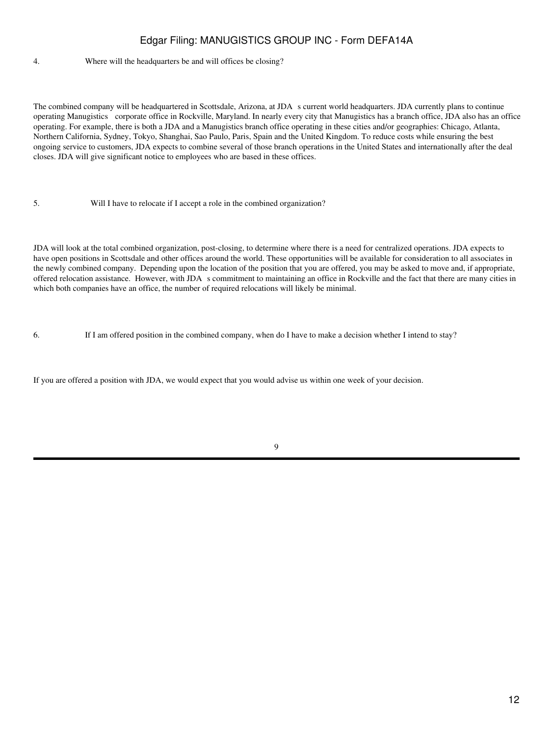#### 4. Where will the headquarters be and will offices be closing?

The combined company will be headquartered in Scottsdale, Arizona, at JDA s current world headquarters. JDA currently plans to continue operating Manugistics corporate office in Rockville, Maryland. In nearly every city that Manugistics has a branch office, JDA also has an office operating. For example, there is both a JDA and a Manugistics branch office operating in these cities and/or geographies: Chicago, Atlanta, Northern California, Sydney, Tokyo, Shanghai, Sao Paulo, Paris, Spain and the United Kingdom. To reduce costs while ensuring the best ongoing service to customers, JDA expects to combine several of those branch operations in the United States and internationally after the deal closes. JDA will give significant notice to employees who are based in these offices.

5. Will I have to relocate if I accept a role in the combined organization?

JDA will look at the total combined organization, post-closing, to determine where there is a need for centralized operations. JDA expects to have open positions in Scottsdale and other offices around the world. These opportunities will be available for consideration to all associates in the newly combined company. Depending upon the location of the position that you are offered, you may be asked to move and, if appropriate, offered relocation assistance. However, with JDA s commitment to maintaining an office in Rockville and the fact that there are many cities in which both companies have an office, the number of required relocations will likely be minimal.

6. If I am offered position in the combined company, when do I have to make a decision whether I intend to stay?

If you are offered a position with JDA, we would expect that you would advise us within one week of your decision.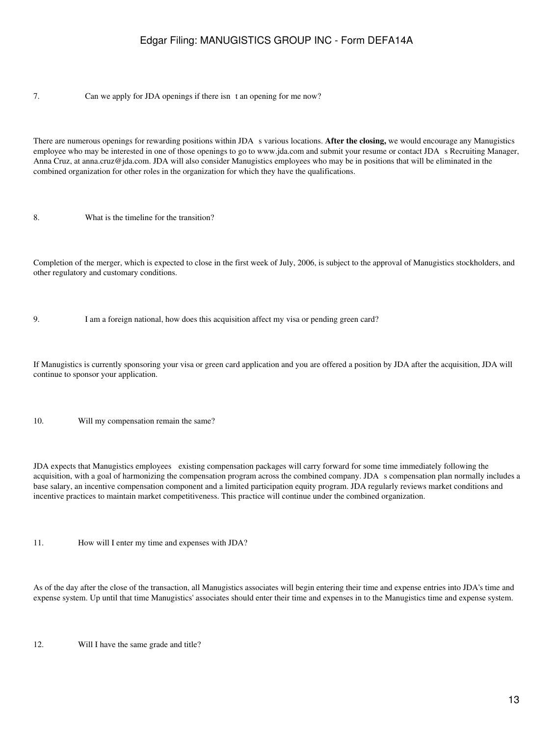7. Can we apply for JDA openings if there isn t an opening for me now?

There are numerous openings for rewarding positions within JDA s various locations. After the closing, we would encourage any Manugistics employee who may be interested in one of those openings to go to www.jda.com and submit your resume or contact JDA s Recruiting Manager, Anna Cruz, at anna.cruz@jda.com. JDA will also consider Manugistics employees who may be in positions that will be eliminated in the combined organization for other roles in the organization for which they have the qualifications.

8. What is the timeline for the transition?

Completion of the merger, which is expected to close in the first week of July, 2006, is subject to the approval of Manugistics stockholders, and other regulatory and customary conditions.

9. I am a foreign national, how does this acquisition affect my visa or pending green card?

If Manugistics is currently sponsoring your visa or green card application and you are offered a position by JDA after the acquisition, JDA will continue to sponsor your application.

10. Will my compensation remain the same?

JDA expects that Manugistics employees existing compensation packages will carry forward for some time immediately following the acquisition, with a goal of harmonizing the compensation program across the combined company. JDA s compensation plan normally includes a base salary, an incentive compensation component and a limited participation equity program. JDA regularly reviews market conditions and incentive practices to maintain market competitiveness. This practice will continue under the combined organization.

11. How will I enter my time and expenses with JDA?

As of the day after the close of the transaction, all Manugistics associates will begin entering their time and expense entries into JDA's time and expense system. Up until that time Manugistics' associates should enter their time and expenses in to the Manugistics time and expense system.

12. Will I have the same grade and title?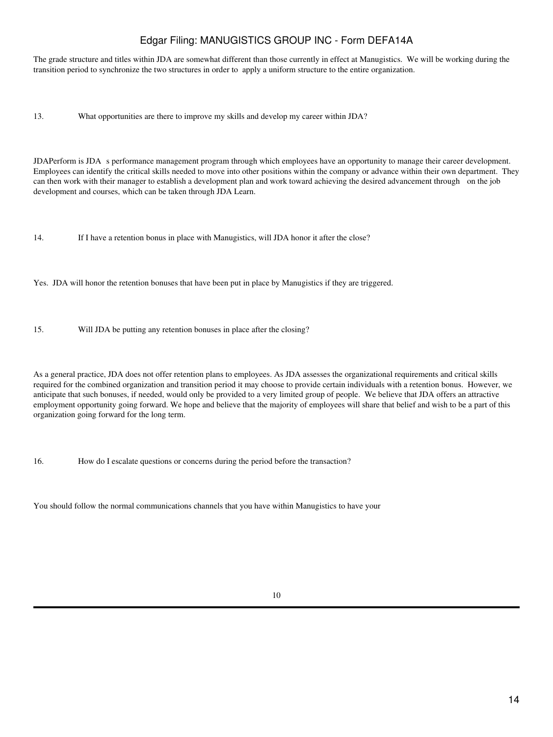The grade structure and titles within JDA are somewhat different than those currently in effect at Manugistics. We will be working during the transition period to synchronize the two structures in order to apply a uniform structure to the entire organization.

13. What opportunities are there to improve my skills and develop my career within JDA?

JDAPerform is JDA s performance management program through which employees have an opportunity to manage their career development. Employees can identify the critical skills needed to move into other positions within the company or advance within their own department. They can then work with their manager to establish a development plan and work toward achieving the desired advancement through on the job development and courses, which can be taken through JDA Learn.

14. If I have a retention bonus in place with Manugistics, will JDA honor it after the close?

Yes. JDA will honor the retention bonuses that have been put in place by Manugistics if they are triggered.

15. Will JDA be putting any retention bonuses in place after the closing?

As a general practice, JDA does not offer retention plans to employees. As JDA assesses the organizational requirements and critical skills required for the combined organization and transition period it may choose to provide certain individuals with a retention bonus. However, we anticipate that such bonuses, if needed, would only be provided to a very limited group of people. We believe that JDA offers an attractive employment opportunity going forward. We hope and believe that the majority of employees will share that belief and wish to be a part of this organization going forward for the long term.

16. How do I escalate questions or concerns during the period before the transaction?

You should follow the normal communications channels that you have within Manugistics to have your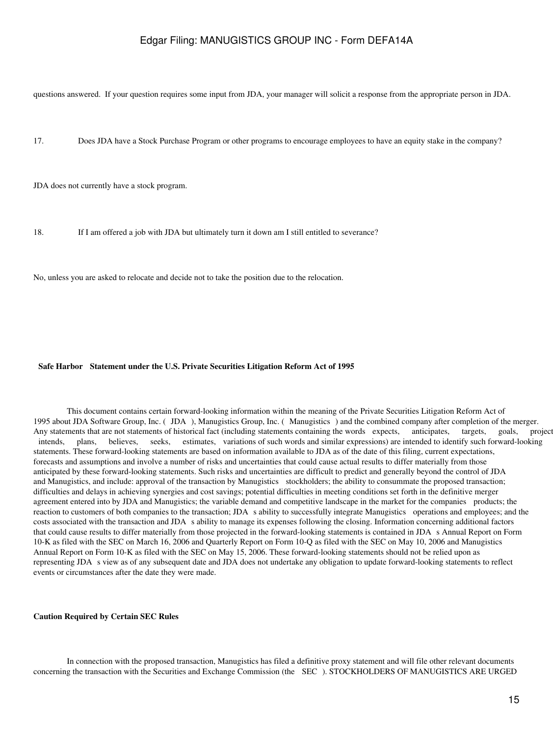questions answered. If your question requires some input from JDA, your manager will solicit a response from the appropriate person in JDA.

17. Does JDA have a Stock Purchase Program or other programs to encourage employees to have an equity stake in the company?

JDA does not currently have a stock program.

18. If I am offered a job with JDA but ultimately turn it down am I still entitled to severance?

No, unless you are asked to relocate and decide not to take the position due to the relocation.

#### **Safe Harbor Statement under the U.S. Private Securities Litigation Reform Act of 1995**

 This document contains certain forward-looking information within the meaning of the Private Securities Litigation Reform Act of 1995 about JDA Software Group, Inc. (JDA), Manugistics Group, Inc. (Manugistics) and the combined company after completion of the merger. Any statements that are not statements of historical fact (including statements containing the words expects, anticipates, targets, goals, projects, intends, plans, believes, seeks, estimates, variations of such words and similar expressions) are intended to identify such forward-looking statements. These forward-looking statements are based on information available to JDA as of the date of this filing, current expectations, forecasts and assumptions and involve a number of risks and uncertainties that could cause actual results to differ materially from those anticipated by these forward-looking statements. Such risks and uncertainties are difficult to predict and generally beyond the control of JDA and Manugistics, and include: approval of the transaction by Manugistics stockholders; the ability to consummate the proposed transaction; difficulties and delays in achieving synergies and cost savings; potential difficulties in meeting conditions set forth in the definitive merger agreement entered into by JDA and Manugistics; the variable demand and competitive landscape in the market for the companies products; the reaction to customers of both companies to the transaction; JDA s ability to successfully integrate Manugistics operations and employees; and the costs associated with the transaction and JDA s ability to manage its expenses following the closing. Information concerning additional factors that could cause results to differ materially from those projected in the forward-looking statements is contained in JDA s Annual Report on Form 10-K as filed with the SEC on March 16, 2006 and Quarterly Report on Form 10-Q as filed with the SEC on May 10, 2006 and Manugistics Annual Report on Form 10-K as filed with the SEC on May 15, 2006. These forward-looking statements should not be relied upon as representing JDA s view as of any subsequent date and JDA does not undertake any obligation to update forward-looking statements to reflect events or circumstances after the date they were made.

#### **Caution Required by Certain SEC Rules**

 In connection with the proposed transaction, Manugistics has filed a definitive proxy statement and will file other relevant documents concerning the transaction with the Securities and Exchange Commission (the SEC). STOCKHOLDERS OF MANUGISTICS ARE URGED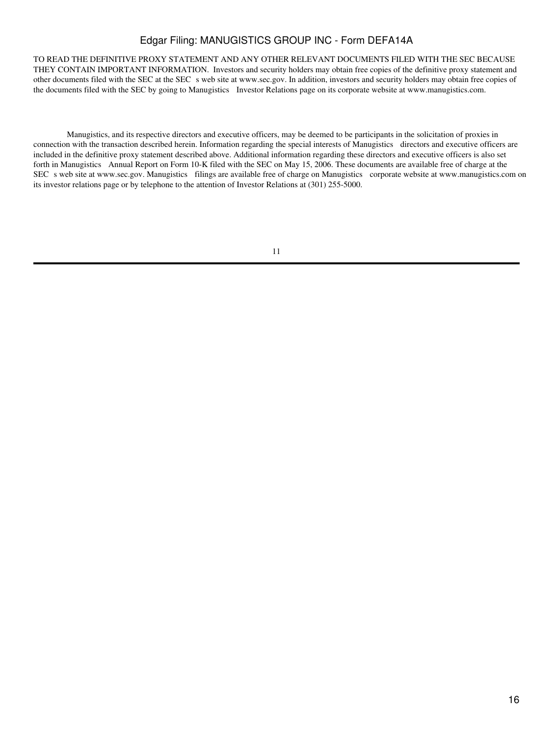TO READ THE DEFINITIVE PROXY STATEMENT AND ANY OTHER RELEVANT DOCUMENTS FILED WITH THE SEC BECAUSE THEY CONTAIN IMPORTANT INFORMATION. Investors and security holders may obtain free copies of the definitive proxy statement and other documents filed with the SEC at the SEC s web site at www.sec.gov. In addition, investors and security holders may obtain free copies of the documents filed with the SEC by going to Manugistics Investor Relations page on its corporate website at www.manugistics.com.

 Manugistics, and its respective directors and executive officers, may be deemed to be participants in the solicitation of proxies in connection with the transaction described herein. Information regarding the special interests of Manugistics directors and executive officers are included in the definitive proxy statement described above. Additional information regarding these directors and executive officers is also set forth in Manugistics Annual Report on Form 10-K filed with the SEC on May 15, 2006. These documents are available free of charge at the SEC s web site at www.sec.gov. Manugistics filings are available free of charge on Manugistics corporate website at www.manugistics.com on its investor relations page or by telephone to the attention of Investor Relations at (301) 255-5000.

<sup>11</sup>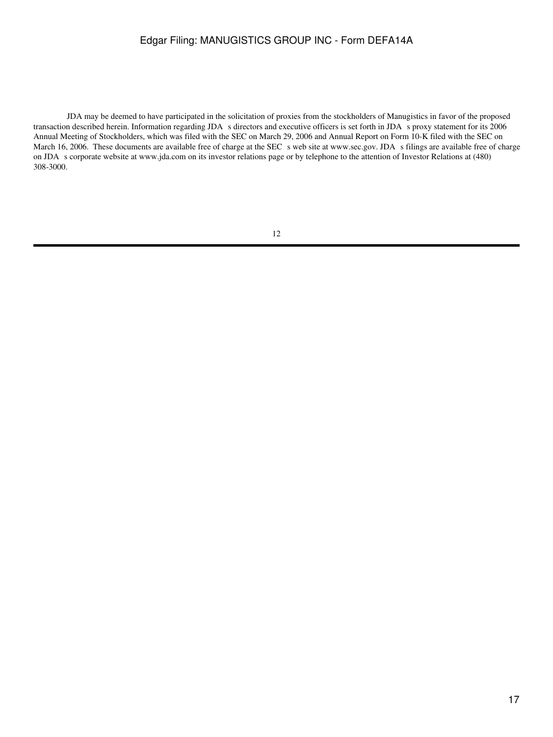JDA may be deemed to have participated in the solicitation of proxies from the stockholders of Manugistics in favor of the proposed transaction described herein. Information regarding JDA s directors and executive officers is set forth in JDA s proxy statement for its 2006 Annual Meeting of Stockholders, which was filed with the SEC on March 29, 2006 and Annual Report on Form 10-K filed with the SEC on March 16, 2006. These documents are available free of charge at the SEC s web site at www.sec.gov. JDA s filings are available free of charge on JDA s corporate website at www.jda.com on its investor relations page or by telephone to the attention of Investor Relations at (480) 308-3000.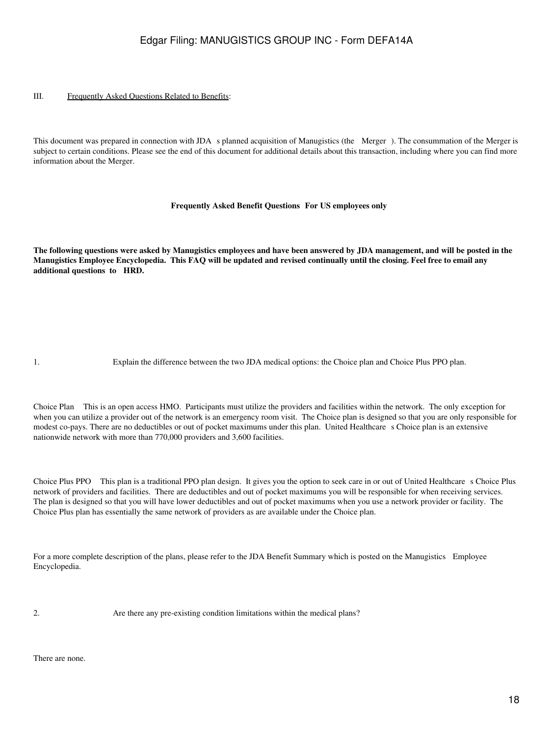#### III. Frequently Asked Questions Related to Benefits:

This document was prepared in connection with JDA s planned acquisition of Manugistics (the Merger). The consummation of the Merger is subject to certain conditions. Please see the end of this document for additional details about this transaction, including where you can find more information about the Merger.

#### **Frequently Asked Benefit Questions For US employees only**

**The following questions were asked by Manugistics employees and have been answered by JDA management, and will be posted in the Manugistics Employee Encyclopedia. This FAQ will be updated and revised continually until the closing. Feel free to email any additional questions to HRD.**

1. Explain the difference between the two JDA medical options: the Choice plan and Choice Plus PPO plan.

Choice Plan This is an open access HMO. Participants must utilize the providers and facilities within the network. The only exception for when you can utilize a provider out of the network is an emergency room visit. The Choice plan is designed so that you are only responsible for modest co-pays. There are no deductibles or out of pocket maximums under this plan. United Healthcare s Choice plan is an extensive nationwide network with more than 770,000 providers and 3,600 facilities.

Choice Plus PPO This plan is a traditional PPO plan design. It gives you the option to seek care in or out of United Healthcare s Choice Plus network of providers and facilities. There are deductibles and out of pocket maximums you will be responsible for when receiving services. The plan is designed so that you will have lower deductibles and out of pocket maximums when you use a network provider or facility. The Choice Plus plan has essentially the same network of providers as are available under the Choice plan.

For a more complete description of the plans, please refer to the JDA Benefit Summary which is posted on the Manugistics Employee Encyclopedia.

2. Are there any pre-existing condition limitations within the medical plans?

There are none.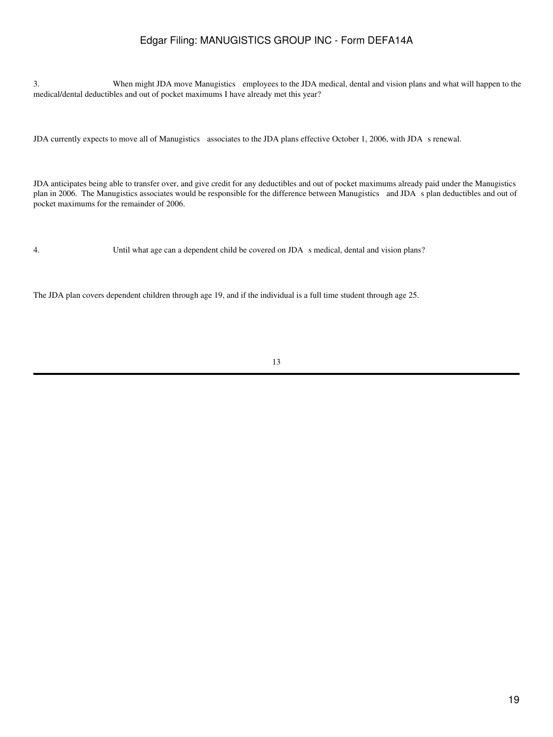3. When might JDA move Manugistics employees to the JDA medical, dental and vision plans and what will happen to the medical/dental deductibles and out of pocket maximums I have already met this year?

JDA currently expects to move all of Manugistics associates to the JDA plans effective October 1, 2006, with JDA s renewal.

JDA anticipates being able to transfer over, and give credit for any deductibles and out of pocket maximums already paid under the Manugistics plan in 2006. The Manugistics associates would be responsible for the difference between Manugistics and JDAs plan deductibles and out of pocket maximums for the remainder of 2006.

4. Until what age can a dependent child be covered on JDA s medical, dental and vision plans?

The JDA plan covers dependent children through age 19, and if the individual is a full time student through age 25.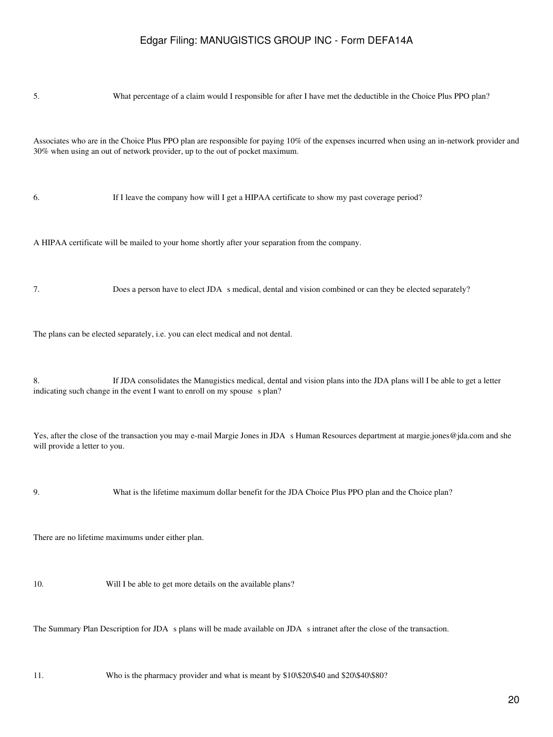| 5.                                                                                                                                                                                                                          | What percentage of a claim would I responsible for after I have met the deductible in the Choice Plus PPO plan?                                                                                     |  |  |  |
|-----------------------------------------------------------------------------------------------------------------------------------------------------------------------------------------------------------------------------|-----------------------------------------------------------------------------------------------------------------------------------------------------------------------------------------------------|--|--|--|
| Associates who are in the Choice Plus PPO plan are responsible for paying 10% of the expenses incurred when using an in-network provider and<br>30% when using an out of network provider, up to the out of pocket maximum. |                                                                                                                                                                                                     |  |  |  |
| 6.                                                                                                                                                                                                                          | If I leave the company how will I get a HIPAA certificate to show my past coverage period?                                                                                                          |  |  |  |
|                                                                                                                                                                                                                             | A HIPAA certificate will be mailed to your home shortly after your separation from the company.                                                                                                     |  |  |  |
| 7.                                                                                                                                                                                                                          | Does a person have to elect JDA s medical, dental and vision combined or can they be elected separately?                                                                                            |  |  |  |
| The plans can be elected separately, i.e. you can elect medical and not dental.                                                                                                                                             |                                                                                                                                                                                                     |  |  |  |
| 8.                                                                                                                                                                                                                          | If JDA consolidates the Manugistics medical, dental and vision plans into the JDA plans will I be able to get a letter<br>indicating such change in the event I want to enroll on my spouse s plan? |  |  |  |
| will provide a letter to you.                                                                                                                                                                                               | Yes, after the close of the transaction you may e-mail Margie Jones in JDA s Human Resources department at margie jones@jda.com and she                                                             |  |  |  |
| 9.                                                                                                                                                                                                                          | What is the lifetime maximum dollar benefit for the JDA Choice Plus PPO plan and the Choice plan?                                                                                                   |  |  |  |
| There are no lifetime maximums under either plan.                                                                                                                                                                           |                                                                                                                                                                                                     |  |  |  |
| 10.                                                                                                                                                                                                                         | Will I be able to get more details on the available plans?                                                                                                                                          |  |  |  |
|                                                                                                                                                                                                                             | The Summary Plan Description for JDA s plans will be made available on JDA s intranet after the close of the transaction.                                                                           |  |  |  |
|                                                                                                                                                                                                                             |                                                                                                                                                                                                     |  |  |  |

11. Who is the pharmacy provider and what is meant by \$10\\$20\\$40 and \$20\\$40\\$80?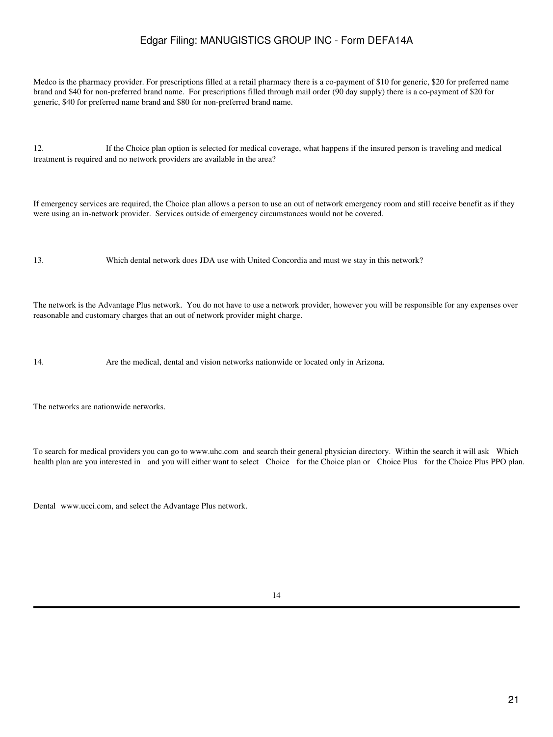Medco is the pharmacy provider. For prescriptions filled at a retail pharmacy there is a co-payment of \$10 for generic, \$20 for preferred name brand and \$40 for non-preferred brand name. For prescriptions filled through mail order (90 day supply) there is a co-payment of \$20 for generic, \$40 for preferred name brand and \$80 for non-preferred brand name.

12. If the Choice plan option is selected for medical coverage, what happens if the insured person is traveling and medical treatment is required and no network providers are available in the area?

If emergency services are required, the Choice plan allows a person to use an out of network emergency room and still receive benefit as if they were using an in-network provider. Services outside of emergency circumstances would not be covered.

13. Which dental network does JDA use with United Concordia and must we stay in this network?

The network is the Advantage Plus network. You do not have to use a network provider, however you will be responsible for any expenses over reasonable and customary charges that an out of network provider might charge.

14. Are the medical, dental and vision networks nationwide or located only in Arizona.

The networks are nationwide networks.

To search for medical providers you can go to www.uhc.com and search their general physician directory. Within the search it will ask Which health plan are you interested in and you will either want to select Choice for the Choice plan or Choice Plus for the Choice Plus PPO plan.

Dental www.ucci.com, and select the Advantage Plus network.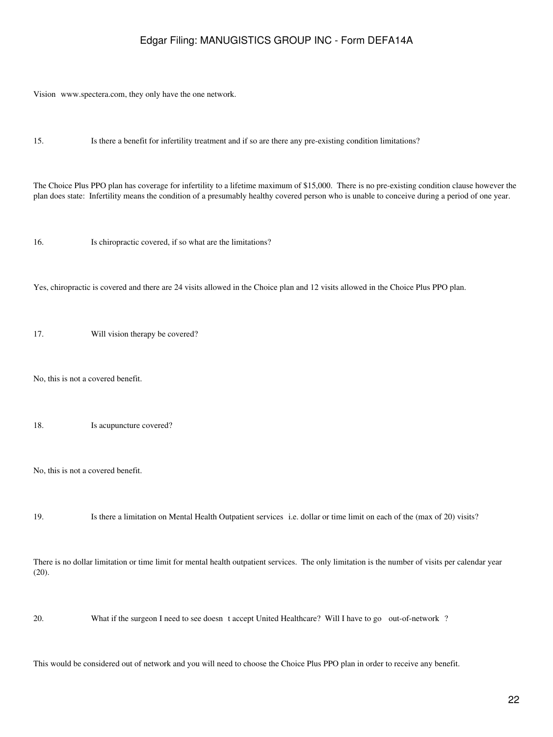Vision www.spectera.com, they only have the one network.

15. Is there a benefit for infertility treatment and if so are there any pre-existing condition limitations?

The Choice Plus PPO plan has coverage for infertility to a lifetime maximum of \$15,000. There is no pre-existing condition clause however the plan does state: Infertility means the condition of a presumably healthy covered person who is unable to conceive during a period of one year.

16. Is chiropractic covered, if so what are the limitations?

Yes, chiropractic is covered and there are 24 visits allowed in the Choice plan and 12 visits allowed in the Choice Plus PPO plan.

17. Will vision therapy be covered?

No, this is not a covered benefit.

18. Is acupuncture covered?

No, this is not a covered benefit.

19. Is there a limitation on Mental Health Outpatient services i.e. dollar or time limit on each of the (max of 20) visits?

There is no dollar limitation or time limit for mental health outpatient services. The only limitation is the number of visits per calendar year (20).

20. What if the surgeon I need to see doesnt accept United Healthcare? Will I have to go out-of-network?

This would be considered out of network and you will need to choose the Choice Plus PPO plan in order to receive any benefit.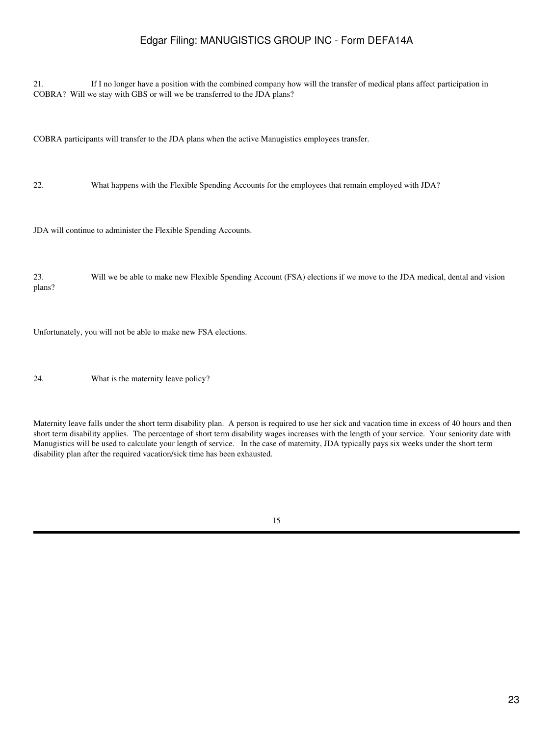21. If I no longer have a position with the combined company how will the transfer of medical plans affect participation in COBRA? Will we stay with GBS or will we be transferred to the JDA plans?

COBRA participants will transfer to the JDA plans when the active Manugistics employees transfer.

22. What happens with the Flexible Spending Accounts for the employees that remain employed with JDA?

JDA will continue to administer the Flexible Spending Accounts.

23. Will we be able to make new Flexible Spending Account (FSA) elections if we move to the JDA medical, dental and vision plans?

Unfortunately, you will not be able to make new FSA elections.

24. What is the maternity leave policy?

Maternity leave falls under the short term disability plan. A person is required to use her sick and vacation time in excess of 40 hours and then short term disability applies. The percentage of short term disability wages increases with the length of your service. Your seniority date with Manugistics will be used to calculate your length of service. In the case of maternity, JDA typically pays six weeks under the short term disability plan after the required vacation/sick time has been exhausted.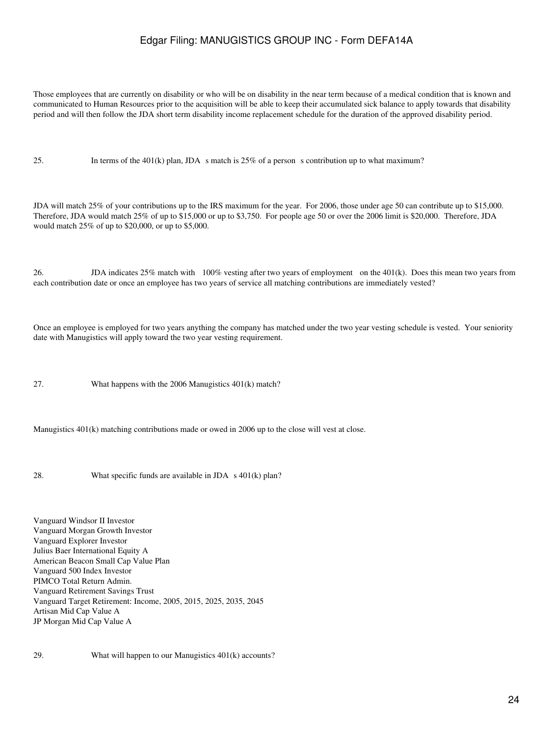Those employees that are currently on disability or who will be on disability in the near term because of a medical condition that is known and communicated to Human Resources prior to the acquisition will be able to keep their accumulated sick balance to apply towards that disability period and will then follow the JDA short term disability income replacement schedule for the duration of the approved disability period.

25. In terms of the 401(k) plan, JDA s match is  $25\%$  of a person s contribution up to what maximum?

JDA will match 25% of your contributions up to the IRS maximum for the year. For 2006, those under age 50 can contribute up to \$15,000. Therefore, JDA would match 25% of up to \$15,000 or up to \$3,750. For people age 50 or over the 2006 limit is \$20,000. Therefore, JDA would match 25% of up to \$20,000, or up to \$5,000.

26. JDA indicates 25% match with 100% vesting after two years of employment on the 401(k). Does this mean two years from each contribution date or once an employee has two years of service all matching contributions are immediately vested?

Once an employee is employed for two years anything the company has matched under the two year vesting schedule is vested. Your seniority date with Manugistics will apply toward the two year vesting requirement.

27. What happens with the 2006 Manugistics 401(k) match?

Manugistics 401(k) matching contributions made or owed in 2006 up to the close will vest at close.

28. What specific funds are available in  $JDA \, s \, 401(k)$  plan?

Vanguard Windsor II Investor Vanguard Morgan Growth Investor Vanguard Explorer Investor Julius Baer International Equity A American Beacon Small Cap Value Plan Vanguard 500 Index Investor PIMCO Total Return Admin. Vanguard Retirement Savings Trust Vanguard Target Retirement: Income, 2005, 2015, 2025, 2035, 2045 Artisan Mid Cap Value A JP Morgan Mid Cap Value A

29. What will happen to our Manugistics 401(k) accounts?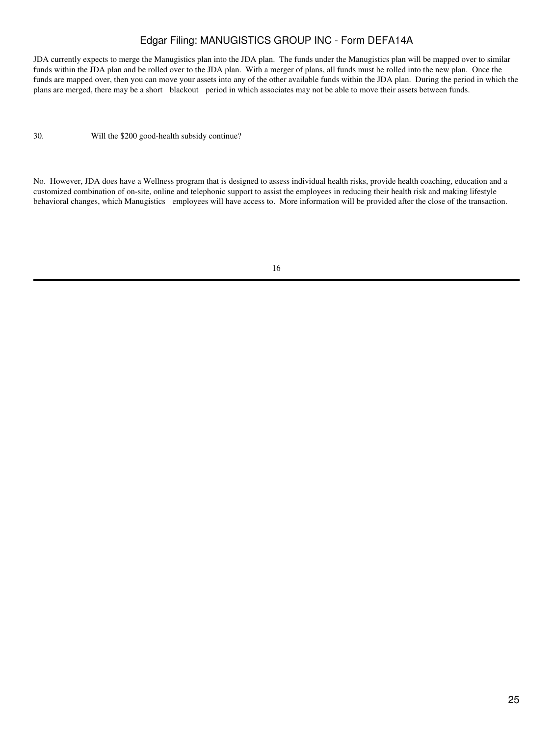JDA currently expects to merge the Manugistics plan into the JDA plan. The funds under the Manugistics plan will be mapped over to similar funds within the JDA plan and be rolled over to the JDA plan. With a merger of plans, all funds must be rolled into the new plan. Once the funds are mapped over, then you can move your assets into any of the other available funds within the JDA plan. During the period in which the plans are merged, there may be a short blackout period in which associates may not be able to move their assets between funds.

30. Will the \$200 good-health subsidy continue?

No. However, JDA does have a Wellness program that is designed to assess individual health risks, provide health coaching, education and a customized combination of on-site, online and telephonic support to assist the employees in reducing their health risk and making lifestyle behavioral changes, which Manugistics employees will have access to. More information will be provided after the close of the transaction.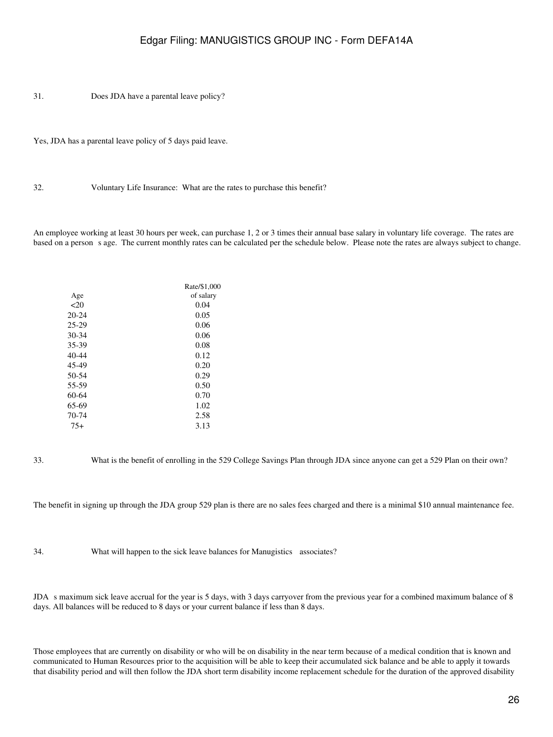31. Does JDA have a parental leave policy?

Yes, JDA has a parental leave policy of 5 days paid leave.

32. Voluntary Life Insurance: What are the rates to purchase this benefit?

An employee working at least 30 hours per week, can purchase 1, 2 or 3 times their annual base salary in voluntary life coverage. The rates are based on a person s age. The current monthly rates can be calculated per the schedule below. Please note the rates are always subject to change.

|       | Rate/\$1,000 |
|-------|--------------|
| Age   | of salary    |
| 20    | 0.04         |
| 20-24 | 0.05         |
| 25-29 | 0.06         |
| 30-34 | 0.06         |
| 35-39 | 0.08         |
| 40-44 | 0.12         |
| 45-49 | 0.20         |
| 50-54 | 0.29         |
| 55-59 | 0.50         |
| 60-64 | 0.70         |
| 65-69 | 1.02         |
| 70-74 | 2.58         |
| $75+$ | 3.13         |
|       |              |

33. What is the benefit of enrolling in the 529 College Savings Plan through JDA since anyone can get a 529 Plan on their own?

The benefit in signing up through the JDA group 529 plan is there are no sales fees charged and there is a minimal \$10 annual maintenance fee.

34. What will happen to the sick leave balances for Manugistics associates?

JDA s maximum sick leave accrual for the year is 5 days, with 3 days carryover from the previous year for a combined maximum balance of 8 days. All balances will be reduced to 8 days or your current balance if less than 8 days.

Those employees that are currently on disability or who will be on disability in the near term because of a medical condition that is known and communicated to Human Resources prior to the acquisition will be able to keep their accumulated sick balance and be able to apply it towards that disability period and will then follow the JDA short term disability income replacement schedule for the duration of the approved disability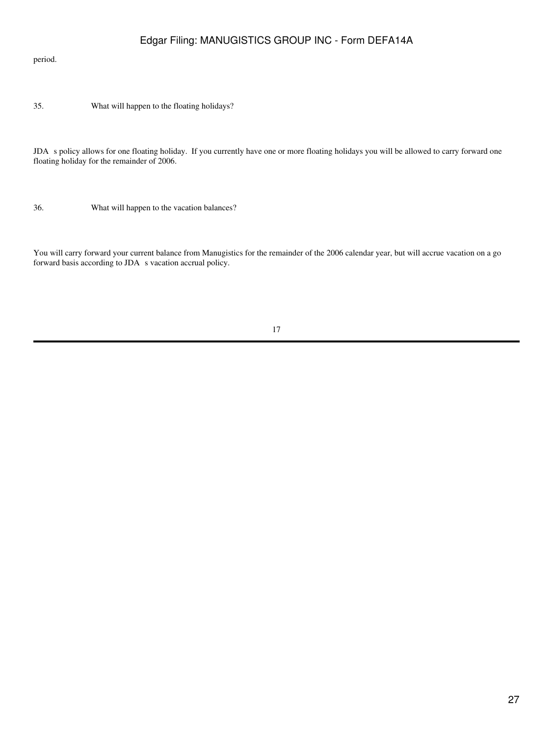#### period.

35. What will happen to the floating holidays?

JDA s policy allows for one floating holiday. If you currently have one or more floating holidays you will be allowed to carry forward one floating holiday for the remainder of 2006.

36. What will happen to the vacation balances?

You will carry forward your current balance from Manugistics for the remainder of the 2006 calendar year, but will accrue vacation on a go forward basis according to JDA s vacation accrual policy.